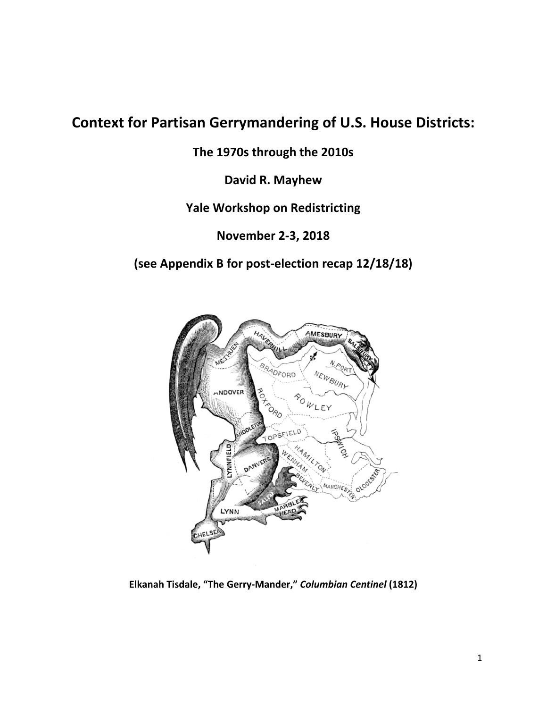## **Context for Partisan Gerrymandering of U.S. House Districts:**

**The 1970s through the 2010s** 

**David R. Mayhew** 

**Yale Workshop on Redistricting** 

**November 2‐3, 2018** 

**(see Appendix B for post‐election recap 12/18/18)** 



**Elkanah Tisdale, "The Gerry‐Mander,"** *Columbian Centinel* **(1812)**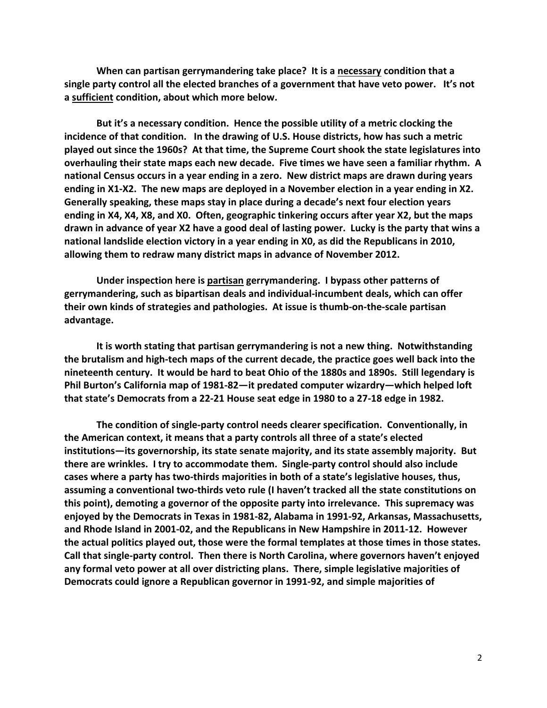**When can partisan gerrymandering take place? It is a necessary condition that a single party control all the elected branches of a government that have veto power. It's not a sufficient condition, about which more below.** 

**But it's a necessary condition. Hence the possible utility of a metric clocking the incidence of that condition. In the drawing of U.S. House districts, how has such a metric played out since the 1960s? At that time, the Supreme Court shook the state legislatures into overhauling their state maps each new decade. Five times we have seen a familiar rhythm. A national Census occurs in a year ending in a zero. New district maps are drawn during years**  ending in X1-X2. The new maps are deployed in a November election in a year ending in X2. **Generally speaking, these maps stay in place during a decade's next four election years ending in X4, X4, X8, and X0. Often, geographic tinkering occurs after year X2, but the maps drawn in advance of year X2 have a good deal of lasting power. Lucky is the party that wins a national landslide election victory in a year ending in X0, as did the Republicans in 2010, allowing them to redraw many district maps in advance of November 2012.** 

**Under inspection here is partisan gerrymandering. I bypass other patterns of gerrymandering, such as bipartisan deals and individual‐incumbent deals, which can offer their own kinds of strategies and pathologies. At issue is thumb‐on‐the‐scale partisan advantage.** 

 **that state's Democrats from a 22‐21 House seat edge in 1980 to a 27‐18 edge in 1982. It is worth stating that partisan gerrymandering is not a new thing. Notwithstanding the brutalism and high‐tech maps of the current decade, the practice goes well back into the nineteenth century. It would be hard to beat Ohio of the 1880s and 1890s. Still legendary is Phil Burton's California map of 1981‐82—it predated computer wizardry—which helped loft** 

**The condition of single‐party control needs clearer specification. Conventionally, in the American context, it means that a party controls all three of a state's elected institutions—its governorship, its state senate majority, and its state assembly majority. But there are wrinkles. I try to accommodate them. Single‐party control should also include cases where a party has two‐thirds majorities in both of a state's legislative houses, thus, assuming a conventional two‐thirds veto rule (I haven't tracked all the state constitutions on this point), demoting a governor of the opposite party into irrelevance. This supremacy was enjoyed by the Democrats in Texas in 1981‐82, Alabama in 1991‐92, Arkansas, Massachusetts, and Rhode Island in 2001‐02, and the Republicans in New Hampshire in 2011‐12. However the actual politics played out, those were the formal templates at those times in those states. Call that single‐party control. Then there is North Carolina, where governors haven't enjoyed any formal veto power at all over districting plans. There, simple legislative majorities of Democrats could ignore a Republican governor in 1991‐92, and simple majorities of**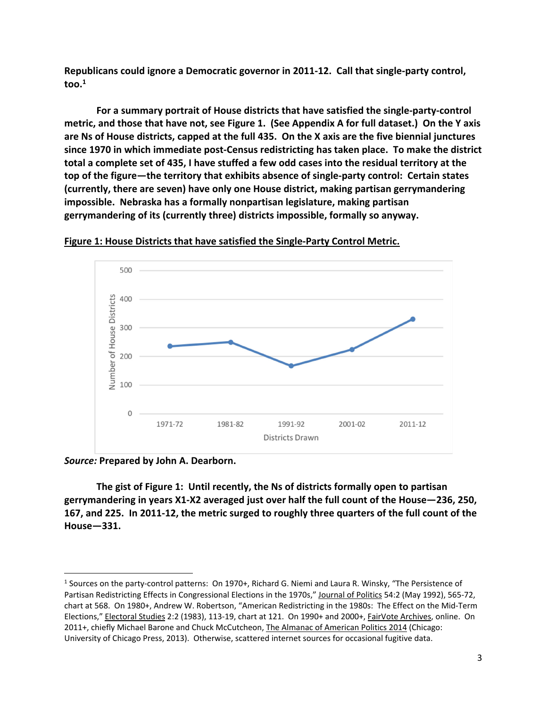**too.1 Republicans could ignore a Democratic governor in 2011‐12. Call that single‐party control,** 

**For a summary portrait of House districts that have satisfied the single‐party‐control metric, and those that have not, see Figure 1. (See Appendix A for full dataset.) On the Y axis are Ns of House districts, capped at the full 435. On the X axis are the five biennial junctures since 1970 in which immediate post‐Census redistricting has taken place. To make the district total a complete set of 435, I have stuffed a few odd cases into the residual territory at the top of the figure—the territory that exhibits absence of single‐party control: Certain states (currently, there are seven) have only one House district, making partisan gerrymandering impossible. Nebraska has a formally nonpartisan legislature, making partisan gerrymandering of its (currently three) districts impossible, formally so anyway.** 



**Figure 1: House Districts that have satisfied the Single‐Party Control Metric.** 

*Source:* **Prepared by John A. Dearborn.** 

**The gist of Figure 1: Until recently, the Ns of districts formally open to partisan gerrymandering in years X1‐X2 averaged just over half the full count of the House—236, 250, 167, and 225. In 2011‐12, the metric surged to roughly three quarters of the full count of the House—331.** 

<sup>&</sup>lt;sup>1</sup> Sources on the party-control patterns: On 1970+, Richard G. Niemi and Laura R. Winsky, "The Persistence of chart at 568. On 1980+, Andrew W. Robertson, "American Redistricting in the 1980s: The Effect on the Mid‐Term Elections," Electoral Studies 2:2 (1983), 113-19, chart at 121. On 1990+ and 2000+, FairVote Archives, online. On Partisan Redistricting Effects in Congressional Elections in the 1970s," Journal of Politics 54:2 (May 1992), 565-72, 2011+, chiefly Michael Barone and Chuck McCutcheon, The Almanac of American Politics 2014 (Chicago: University of Chicago Press, 2013). Otherwise, scattered internet sources for occasional fugitive data.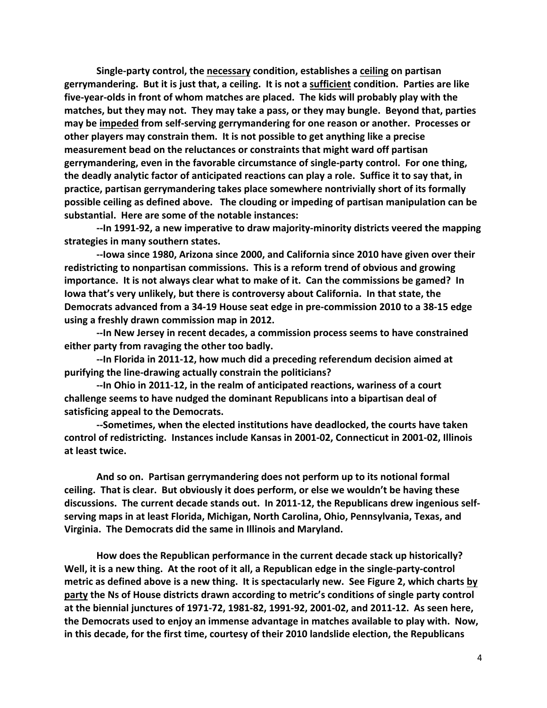**Single‐party control, the necessary condition, establishes a ceiling on partisan gerrymandering. But it is just that, a ceiling. It is not a sufficient condition. Parties are like five‐year‐olds in front of whom matches are placed. The kids will probably play with the matches, but they may not. They may take a pass, or they may bungle. Beyond that, parties may be impeded from self‐serving gerrymandering for one reason or another. Processes or other players may constrain them. It is not possible to get anything like a precise measurement bead on the reluctances or constraints that might ward off partisan gerrymandering, even in the favorable circumstance of single‐party control. For one thing, the deadly analytic factor of anticipated reactions can play a role. Suffice it to say that, in practice, partisan gerrymandering takes place somewhere nontrivially short of its formally possible ceiling as defined above. The clouding or impeding of partisan manipulation can be substantial. Here are some of the notable instances:** 

**‐‐In 1991‐92, a new imperative to draw majority‐minority districts veered the mapping strategies in many southern states.** 

**‐‐Iowa since 1980, Arizona since 2000, and California since 2010 have given over their redistricting to nonpartisan commissions. This is a reform trend of obvious and growing importance. It is not always clear what to make of it. Can the commissions be gamed? In Iowa that's very unlikely, but there is controversy about California. In that state, the Democrats advanced from a 34‐19 House seat edge in pre‐commission 2010 to a 38‐15 edge**  using a freshly drawn commission map in 2012.

**‐‐In New Jersey in recent decades, a commission process seems to have constrained either party from ravaging the other too badly.** 

**‐‐In Florida in 2011‐12, how much did a preceding referendum decision aimed at purifying the line‐drawing actually constrain the politicians?** 

 **satisficing appeal to the Democrats. ‐‐In Ohio in 2011‐12, in the realm of anticipated reactions, wariness of a court challenge seems to have nudged the dominant Republicans into a bipartisan deal of** 

**‐‐Sometimes, when the elected institutions have deadlocked, the courts have taken control of redistricting. Instances include Kansas in 2001‐02, Connecticut in 2001‐02, Illinois at least twice.** 

 **Virginia. The Democrats did the same in Illinois and Maryland. And so on. Partisan gerrymandering does not perform up to its notional formal ceiling. That is clear. But obviously it does perform, or else we wouldn't be having these discussions. The current decade stands out. In 2011‐12, the Republicans drew ingenious self‐ serving maps in at least Florida, Michigan, North Carolina, Ohio, Pennsylvania, Texas, and** 

**How does the Republican performance in the current decade stack up historically? Well, it is a new thing. At the root of it all, a Republican edge in the single‐party‐control metric as defined above is a new thing. It is spectacularly new. See Figure 2, which charts by party the Ns of House districts drawn according to metric's conditions of single party control at the biennial junctures of 1971‐72, 1981‐82, 1991‐92, 2001‐02, and 2011‐12. As seen here, the Democrats used to enjoy an immense advantage in matches available to play with. Now, in this decade, for the first time, courtesy of their 2010 landslide election, the Republicans**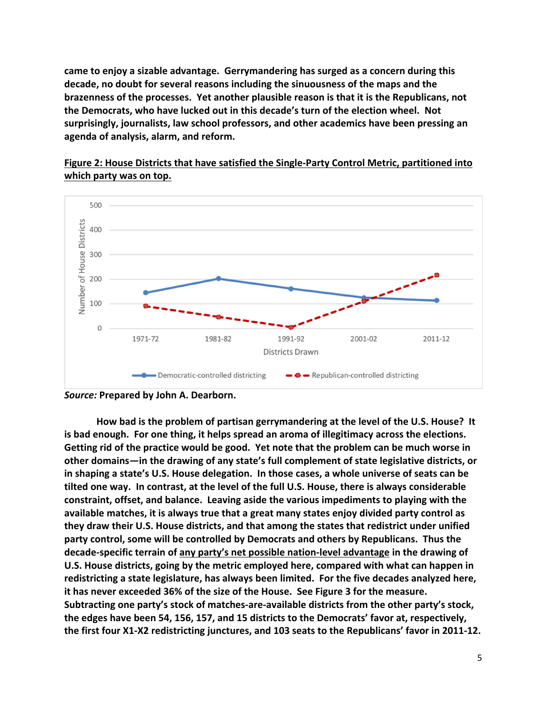**came to enjoy a sizable advantage. Gerrymandering has surged as a concern during this decade, no doubt for several reasons including the sinuousness of the maps and the brazenness of the processes. Yet another plausible reason is that it is the Republicans, not the Democrats, who have lucked out in this decade's turn of the election wheel. Not surprisingly, journalists, law school professors, and other academics have been pressing an agenda of analysis, alarm, and reform.** 

## **Figure 2: House Districts that have satisfied the Single‐Party Control Metric, partitioned into which party was on top.**



*Source:* **Prepared by John A. Dearborn.** 

**How bad is the problem of partisan gerrymandering at the level of the U.S. House? It is bad enough. For one thing, it helps spread an aroma of illegitimacy across the elections. Getting rid of the practice would be good. Yet note that the problem can be much worse in other domains—in the drawing of any state's full complement of state legislative districts, or in shaping a state's U.S. House delegation. In those cases, a whole universe of seats can be tilted one way. In contrast, at the level of the full U.S. House, there is always considerable constraint, offset, and balance. Leaving aside the various impediments to playing with the available matches, it is always true that a great many states enjoy divided party control as they draw their U.S. House districts, and that among the states that redistrict under unified party control, some will be controlled by Democrats and others by Republicans. Thus the decade‐specific terrain of any party's net possible nation‐level advantage in the drawing of U.S. House districts, going by the metric employed here, compared with what can happen in redistricting a state legislature, has always been limited. For the five decades analyzed here, it has never exceeded 36% of the size of the House. See Figure 3 for the measure. Subtracting one party's stock of matches‐are‐available districts from the other party's stock, the edges have been 54, 156, 157, and 15 districts to the Democrats' favor at, respectively, the first four X1‐X2 redistricting junctures, and 103 seats to the Republicans' favor in 2011‐12.**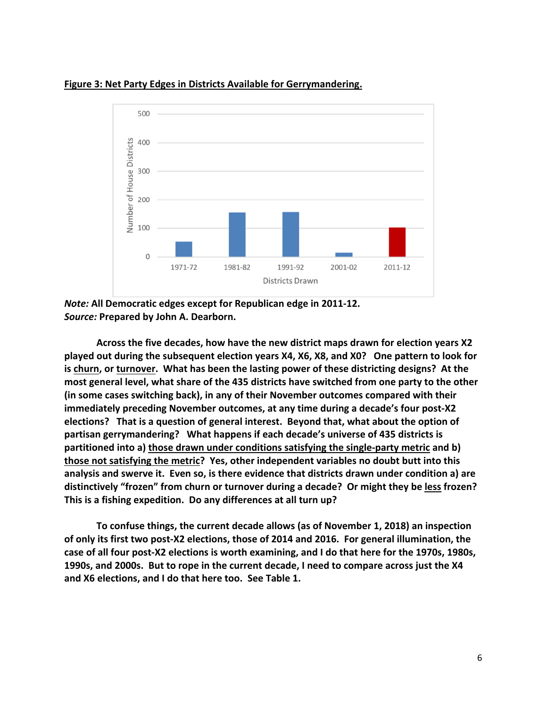

## **Figure 3: Net Party Edges in Districts Available for Gerrymandering.**

*Note:* **All Democratic edges except for Republican edge in 2011‐12.**  *Source:* **Prepared by John A. Dearborn.** 

**Across the five decades, how have the new district maps drawn for election years X2 played out during the subsequent election years X4, X6, X8, and X0? One pattern to look for is churn, or turnover. What has been the lasting power of these districting designs? At the most general level, what share of the 435 districts have switched from one party to the other (in some cases switching back), in any of their November outcomes compared with their immediately preceding November outcomes, at any time during a decade's four post‐X2 elections? That is a question of general interest. Beyond that, what about the option of partisan gerrymandering? What happens if each decade's universe of 435 districts is partitioned into a) those drawn under conditions satisfying the single‐party metric and b) those not satisfying the metric? Yes, other independent variables no doubt butt into this analysis and swerve it. Even so, is there evidence that districts drawn under condition a) are distinctively "frozen" from churn or turnover during a decade? Or might they be less frozen? This is a fishing expedition. Do any differences at all turn up?** 

**To confuse things, the current decade allows (as of November 1, 2018) an inspection of only its first two post‐X2 elections, those of 2014 and 2016. For general illumination, the case of all four post‐X2 elections is worth examining, and I do that here for the 1970s, 1980s, 1990s, and 2000s. But to rope in the current decade, I need to compare across just the X4 and X6 elections, and I do that here too. See Table 1.**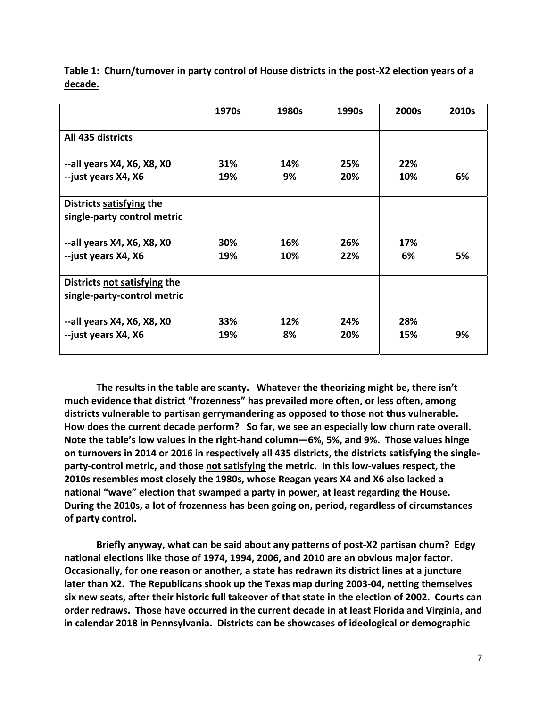|                                                             | 1970s      | 1980s      | 1990s      | 2000s      | 2010s |
|-------------------------------------------------------------|------------|------------|------------|------------|-------|
| All 435 districts                                           |            |            |            |            |       |
| --all years X4, X6, X8, X0<br>--just years X4, X6           | 31%<br>19% | 14%<br>9%  | 25%<br>20% | 22%<br>10% | 6%    |
| Districts satisfying the<br>single-party control metric     |            |            |            |            |       |
| --all years X4, X6, X8, X0<br>--just years X4, X6           | 30%<br>19% | 16%<br>10% | 26%<br>22% | 17%<br>6%  | 5%    |
| Districts not satisfying the<br>single-party-control metric |            |            |            |            |       |
| --all years X4, X6, X8, X0<br>--just years X4, X6           | 33%<br>19% | 12%<br>8%  | 24%<br>20% | 28%<br>15% | 9%    |

**Table 1: Churn/turnover in party control of House districts in the post‐X2 election years of a decade.** 

**The results in the table are scanty. Whatever the theorizing might be, there isn't much evidence that district "frozenness" has prevailed more often, or less often, among districts vulnerable to partisan gerrymandering as opposed to those not thus vulnerable. How does the current decade perform? So far, we see an especially low churn rate overall. Note the table's low values in the right‐hand column—6%, 5%, and 9%. Those values hinge on turnovers in 2014 or 2016 in respectively all 435 districts, the districts satisfying the single‐ party‐control metric, and those not satisfying the metric. In this low‐values respect, the 2010s resembles most closely the 1980s, whose Reagan years X4 and X6 also lacked a national "wave" election that swamped a party in power, at least regarding the House. During the 2010s, a lot of frozenness has been going on, period, regardless of circumstances of party control.** 

**Briefly anyway, what can be said about any patterns of post‐X2 partisan churn? Edgy national elections like those of 1974, 1994, 2006, and 2010 are an obvious major factor. Occasionally, for one reason or another, a state has redrawn its district lines at a juncture later than X2. The Republicans shook up the Texas map during 2003‐04, netting themselves six new seats, after their historic full takeover of that state in the election of 2002. Courts can order redraws. Those have occurred in the current decade in at least Florida and Virginia, and in calendar 2018 in Pennsylvania. Districts can be showcases of ideological or demographic**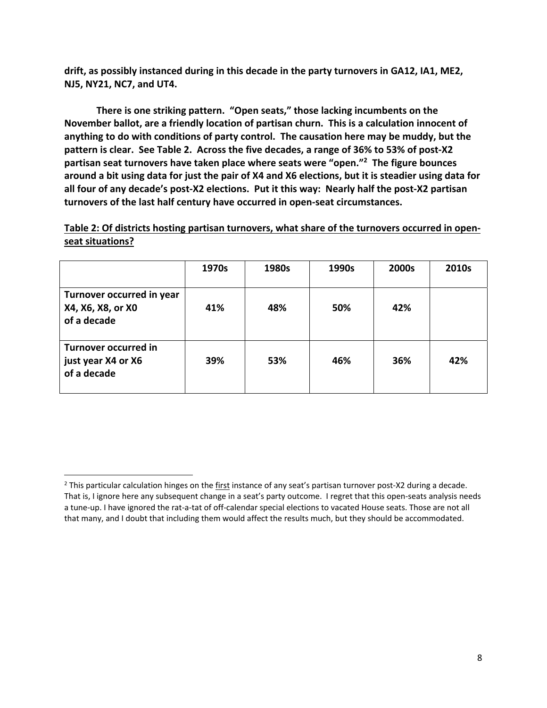**drift, as possibly instanced during in this decade in the party turnovers in GA12, IA1, ME2, NJ5, NY21, NC7, and UT4.** 

**There is one striking pattern. "Open seats," those lacking incumbents on the November ballot, are a friendly location of partisan churn. This is a calculation innocent of anything to do with conditions of party control. The causation here may be muddy, but the pattern is clear. See Table 2. Across the five decades, a range of 36% to 53% of post‐X2 partisan seat turnovers have taken place where seats were "open."2 The figure bounces around a bit using data for just the pair of X4 and X6 elections, but it is steadier using data for all four of any decade's post‐X2 elections. Put it this way: Nearly half the post‐X2 partisan turnovers of the last half century have occurred in open‐seat circumstances.** 

**Table 2: Of districts hosting partisan turnovers, what share of the turnovers occurred in open‐ seat situations?** 

|                                                                  | 1970s | 1980s | 1990s | 2000s | 2010s |
|------------------------------------------------------------------|-------|-------|-------|-------|-------|
| Turnover occurred in year<br>X4, X6, X8, or X0<br>of a decade    | 41%   | 48%   | 50%   | 42%   |       |
| <b>Turnover occurred in</b><br>just year X4 or X6<br>of a decade | 39%   | 53%   | 46%   | 36%   | 42%   |

 a tune‐up. I have ignored the rat‐a‐tat of off‐calendar special elections to vacated House seats. Those are not all that many, and I doubt that including them would affect the results much, but they should be accommodated. <sup>2</sup> This particular calculation hinges on the first instance of any seat's partisan turnover post-X2 during a decade. That is, I ignore here any subsequent change in a seat's party outcome. I regret that this open-seats analysis needs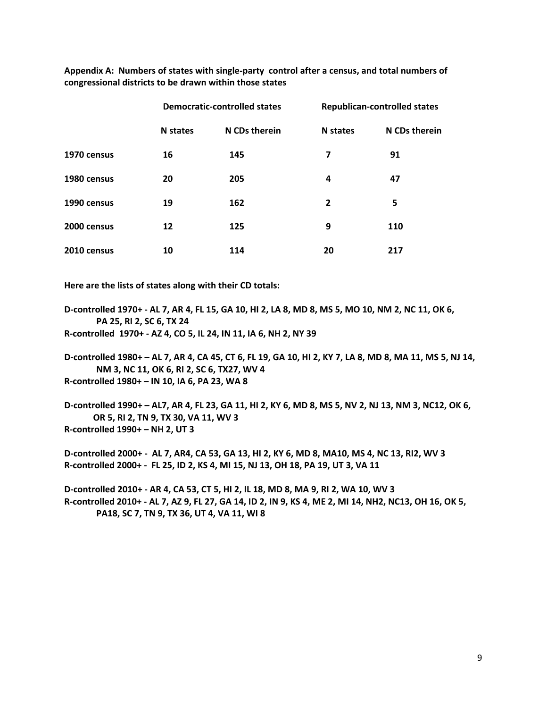**Appendix A: Numbers of states with single‐party control after a census, and total numbers of congressional districts to be drawn within those states**

|             | <b>Democratic-controlled states</b> |               | <b>Republican-controlled states</b> |               |
|-------------|-------------------------------------|---------------|-------------------------------------|---------------|
|             | <b>N</b> states                     | N CDs therein | N states                            | N CDs therein |
| 1970 census | 16                                  | 145           | 7                                   | 91            |
| 1980 census | 20                                  | 205           | 4                                   | 47            |
| 1990 census | 19                                  | 162           | $\overline{2}$                      | 5             |
| 2000 census | 12                                  | 125           | 9                                   | 110           |
| 2010 census | 10                                  | 114           | 20                                  | 217           |

 **Here are the lists of states along with their CD totals:**

 **PA 25, RI 2, SC 6, TX 24 D‐controlled 1970+ ‐ AL 7, AR 4, FL 15, GA 10, HI 2, LA 8, MD 8, MS 5, MO 10, NM 2, NC 11, OK 6,** 

**R‐controlled 1970+ ‐ AZ 4, CO 5, IL 24, IN 11, IA 6, NH 2, NY 39** 

 **R‐controlled 1980+ – IN 10, IA 6, PA 23, WA 8 D‐controlled 1980+ – AL 7, AR 4, CA 45, CT 6, FL 19, GA 10, HI 2, KY 7, LA 8, MD 8, MA 11, MS 5, NJ 14, NM 3, NC 11, OK 6, RI 2, SC 6, TX27, WV 4** 

 **OR 5, RI 2, TN 9, TX 30, VA 11, WV 3 D‐controlled 1990+ – AL7, AR 4, FL 23, GA 11, HI 2, KY 6, MD 8, MS 5, NV 2, NJ 13, NM 3, NC12, OK 6, R‐controlled 1990+ – NH 2, UT 3** 

**D‐controlled 2000+ ‐ AL 7, AR4, CA 53, GA 13, HI 2, KY 6, MD 8, MA10, MS 4, NC 13, RI2, WV 3 R‐controlled 2000+ ‐ FL 25, ID 2, KS 4, MI 15, NJ 13, OH 18, PA 19, UT 3, VA 11** 

**D‐controlled 2010+ ‐ AR 4, CA 53, CT 5, HI 2, IL 18, MD 8, MA 9, RI 2, WA 10, WV 3 R‐controlled 2010+ ‐ AL 7, AZ 9, FL 27, GA 14, ID 2, IN 9, KS 4, ME 2, MI 14, NH2, NC13, OH 16, OK 5, PA18, SC 7, TN 9, TX 36, UT 4, VA 11, WI 8**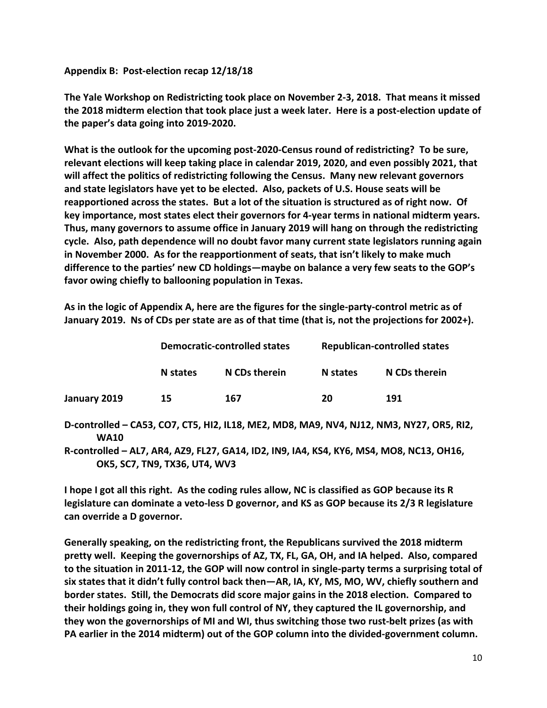## **Appendix B: Post‐election recap 12/18/18**

**The Yale Workshop on Redistricting took place on November 2‐3, 2018. That means it missed the 2018 midterm election that took place just a week later. Here is a post‐election update of the paper's data going into 2019‐2020.** 

**What is the outlook for the upcoming post‐2020‐Census round of redistricting? To be sure, relevant elections will keep taking place in calendar 2019, 2020, and even possibly 2021, that will affect the politics of redistricting following the Census. Many new relevant governors and state legislators have yet to be elected. Also, packets of U.S. House seats will be reapportioned across the states. But a lot of the situation is structured as of right now. Of key importance, most states elect their governors for 4‐year terms in national midterm years. Thus, many governors to assume office in January 2019 will hang on through the redistricting cycle. Also, path dependence will no doubt favor many current state legislators running again in November 2000. As for the reapportionment of seats, that isn't likely to make much difference to the parties' new CD holdings—maybe on balance a very few seats to the GOP's favor owing chiefly to ballooning population in Texas.** 

**As in the logic of Appendix A, here are the figures for the single‐party‐control metric as of January 2019. Ns of CDs per state are as of that time (that is, not the projections for 2002+).** 

|              | <b>Democratic-controlled states</b> |               | <b>Republican-controlled states</b> |               |  |
|--------------|-------------------------------------|---------------|-------------------------------------|---------------|--|
|              | N states                            | N CDs therein | N states                            | N CDs therein |  |
| January 2019 | 15                                  | 167           | 20                                  | 191           |  |

 **WA10 D‐controlled – CA53, CO7, CT5, HI2, IL18, ME2, MD8, MA9, NV4, NJ12, NM3, NY27, OR5, RI2,** 

**R‐controlled – AL7, AR4, AZ9, FL27, GA14, ID2, IN9, IA4, KS4, KY6, MS4, MO8, NC13, OH16, OK5, SC7, TN9, TX36, UT4, WV3** 

**I hope I got all this right. As the coding rules allow, NC is classified as GOP because its R legislature can dominate a veto‐less D governor, and KS as GOP because its 2/3 R legislature can override a D governor.** 

**Generally speaking, on the redistricting front, the Republicans survived the 2018 midterm pretty well. Keeping the governorships of AZ, TX, FL, GA, OH, and IA helped. Also, compared to the situation in 2011‐12, the GOP will now control in single‐party terms a surprising total of six states that it didn't fully control back then—AR, IA, KY, MS, MO, WV, chiefly southern and border states. Still, the Democrats did score major gains in the 2018 election. Compared to their holdings going in, they won full control of NY, they captured the IL governorship, and they won the governorships of MI and WI, thus switching those two rust‐belt prizes (as with PA earlier in the 2014 midterm) out of the GOP column into the divided‐government column.**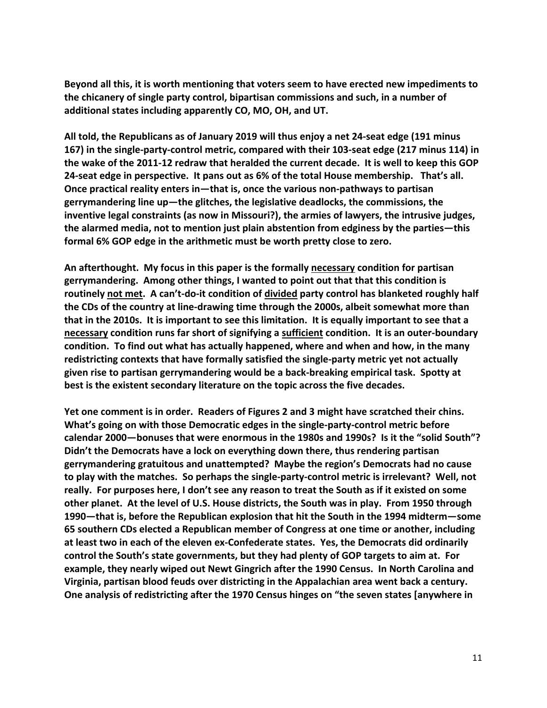**Beyond all this, it is worth mentioning that voters seem to have erected new impediments to the chicanery of single party control, bipartisan commissions and such, in a number of additional states including apparently CO, MO, OH, and UT.** 

**All told, the Republicans as of January 2019 will thus enjoy a net 24‐seat edge (191 minus 167) in the single‐party‐control metric, compared with their 103‐seat edge (217 minus 114) in the wake of the 2011‐12 redraw that heralded the current decade. It is well to keep this GOP 24‐seat edge in perspective. It pans out as 6% of the total House membership. That's all. Once practical reality enters in—that is, once the various non‐pathways to partisan gerrymandering line up—the glitches, the legislative deadlocks, the commissions, the inventive legal constraints (as now in Missouri?), the armies of lawyers, the intrusive judges, the alarmed media, not to mention just plain abstention from edginess by the parties—this formal 6% GOP edge in the arithmetic must be worth pretty close to zero.** 

**An afterthought. My focus in this paper is the formally necessary condition for partisan gerrymandering. Among other things, I wanted to point out that that this condition is routinely not met. A can't‐do‐it condition of divided party control has blanketed roughly half the CDs of the country at line‐drawing time through the 2000s, albeit somewhat more than that in the 2010s. It is important to see this limitation. It is equally important to see that a necessary condition runs far short of signifying a sufficient condition. It is an outer‐boundary condition. To find out what has actually happened, where and when and how, in the many redistricting contexts that have formally satisfied the single‐party metric yet not actually given rise to partisan gerrymandering would be a back‐breaking empirical task. Spotty at best is the existent secondary literature on the topic across the five decades.** 

**Yet one comment is in order. Readers of Figures 2 and 3 might have scratched their chins. What's going on with those Democratic edges in the single‐party‐control metric before calendar 2000—bonuses that were enormous in the 1980s and 1990s? Is it the "solid South"? Didn't the Democrats have a lock on everything down there, thus rendering partisan gerrymandering gratuitous and unattempted? Maybe the region's Democrats had no cause to play with the matches. So perhaps the single‐party‐control metric is irrelevant? Well, not really. For purposes here, I don't see any reason to treat the South as if it existed on some other planet. At the level of U.S. House districts, the South was in play. From 1950 through 1990—that is, before the Republican explosion that hit the South in the 1994 midterm—some 65 southern CDs elected a Republican member of Congress at one time or another, including at least two in each of the eleven ex‐Confederate states. Yes, the Democrats did ordinarily control the South's state governments, but they had plenty of GOP targets to aim at. For example, they nearly wiped out Newt Gingrich after the 1990 Census. In North Carolina and Virginia, partisan blood feuds over districting in the Appalachian area went back a century. One analysis of redistricting after the 1970 Census hinges on "the seven states [anywhere in**